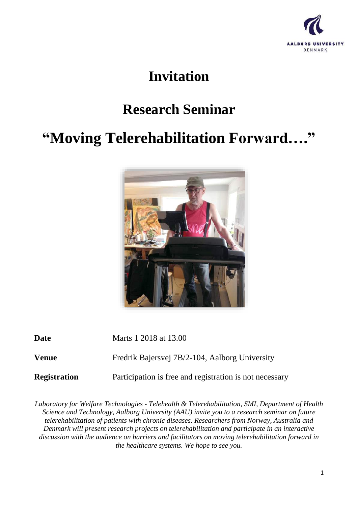

## **Invitation**

## **Research Seminar**

## **"Moving Telerehabilitation Forward…."**



**Date** Marts 1 2018 at 13.00

**Venue** Fredrik Bajersvej 7B/2-104, Aalborg University

**Registration** Participation is free and registration is not necessary

*Laboratory for Welfare Technologies - Telehealth & Telerehabilitation, SMI, Department of Health Science and Technology, Aalborg University (AAU) invite you to a research seminar on future telerehabilitation of patients with chronic diseases. Researchers from Norway, Australia and Denmark will present research projects on telerehabilitation and participate in an interactive discussion with the audience on barriers and facilitators on moving telerehabilitation forward in the healthcare systems. We hope to see you.*